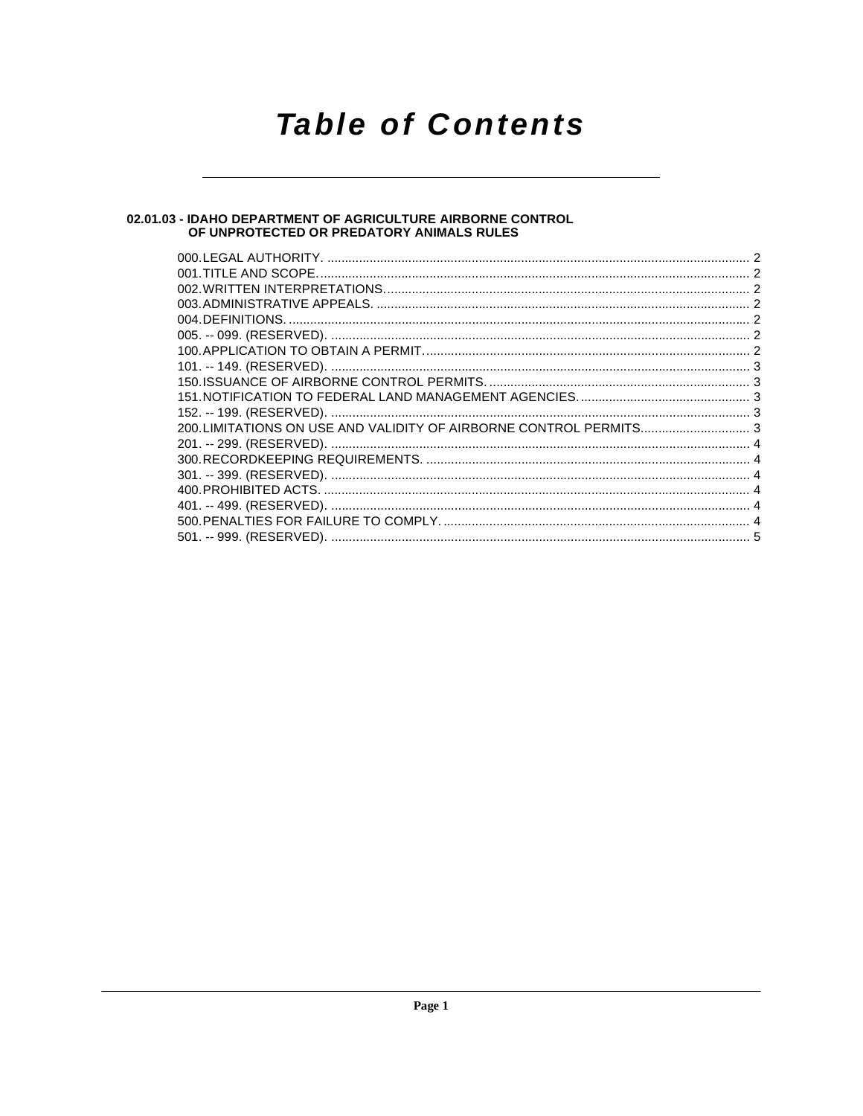# **Table of Contents**

# 02.01.03 - IDAHO DEPARTMENT OF AGRICULTURE AIRBORNE CONTROL<br>OF UNPROTECTED OR PREDATORY ANIMALS RULES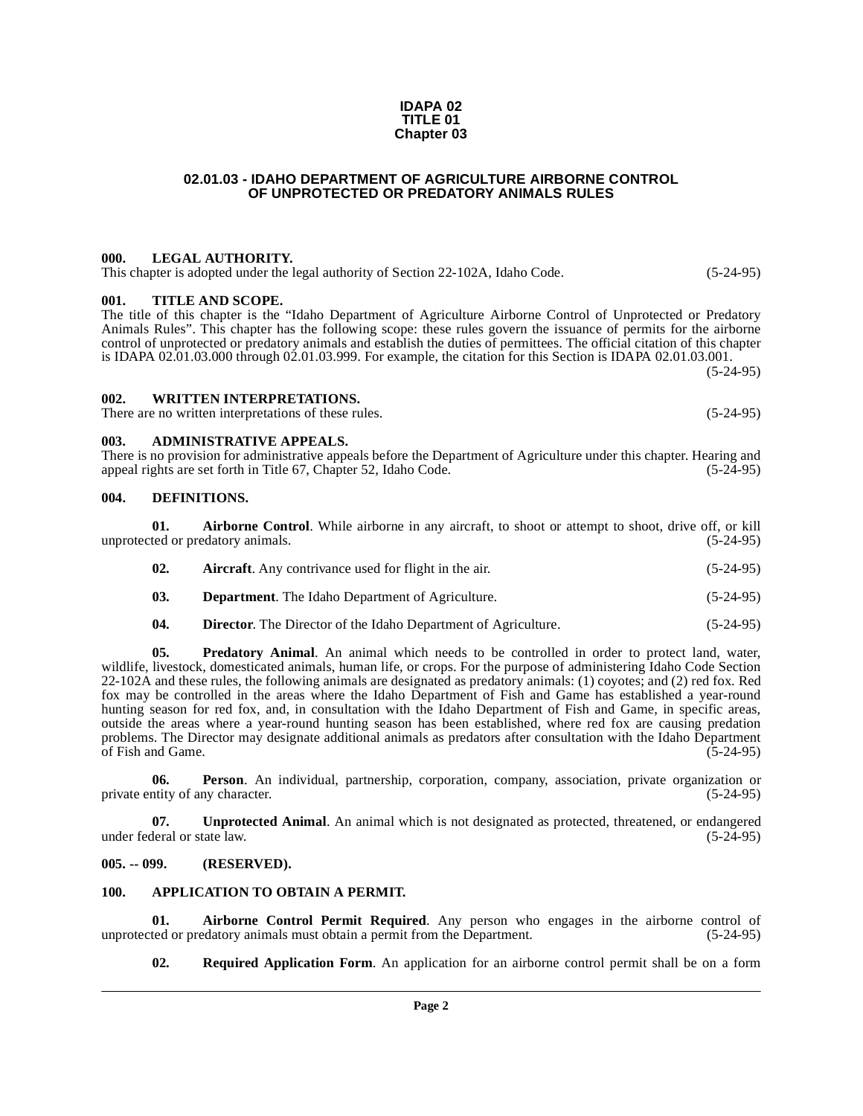#### **IDAPA 02 TITLE 01 Chapter 03**

### **02.01.03 - IDAHO DEPARTMENT OF AGRICULTURE AIRBORNE CONTROL OF UNPROTECTED OR PREDATORY ANIMALS RULES**

#### <span id="page-1-1"></span><span id="page-1-0"></span>**000. LEGAL AUTHORITY.**

This chapter is adopted under the legal authority of Section 22-102A, Idaho Code. (5-24-95)

#### <span id="page-1-2"></span>**001. TITLE AND SCOPE.**

The title of this chapter is the "Idaho Department of Agriculture Airborne Control of Unprotected or Predatory Animals Rules". This chapter has the following scope: these rules govern the issuance of permits for the airborne control of unprotected or predatory animals and establish the duties of permittees. The official citation of this chapter is IDAPA 02.01.03.000 through 02.01.03.999. For example, the citation for this Section is IDAPA 02.01.03.001. (5-24-95)

#### <span id="page-1-3"></span>**002. WRITTEN INTERPRETATIONS.**

There are no written interpretations of these rules. (5-24-95)

#### <span id="page-1-4"></span>**003. ADMINISTRATIVE APPEALS.**

There is no provision for administrative appeals before the Department of Agriculture under this chapter. Hearing and appeal rights are set forth in Title 67, Chapter 52, Idaho Code. (5-24-95)

#### <span id="page-1-12"></span><span id="page-1-5"></span>**004. DEFINITIONS.**

<span id="page-1-8"></span>

|     | <b>Airborne Control.</b> While airborne in any aircraft, to shoot or attempt to shoot, drive off, or kill |             |
|-----|-----------------------------------------------------------------------------------------------------------|-------------|
|     | unprotected or predatory animals.                                                                         | $(5-24-95)$ |
| 02. | <b>Aircraft.</b> Any contrivance used for flight in the air.                                              | $(5-24-95)$ |
| 03. | <b>Department.</b> The Idaho Department of Agriculture.                                                   | $(5-24-95)$ |

<span id="page-1-16"></span><span id="page-1-14"></span><span id="page-1-13"></span><span id="page-1-10"></span>**04. Director**. The Director of the Idaho Department of Agriculture. (5-24-95)

**05. Predatory Animal**. An animal which needs to be controlled in order to protect land, water, wildlife, livestock, domesticated animals, human life, or crops. For the purpose of administering Idaho Code Section 22-102A and these rules, the following animals are designated as predatory animals: (1) coyotes; and (2) red fox. Red fox may be controlled in the areas where the Idaho Department of Fish and Game has established a year-round hunting season for red fox, and, in consultation with the Idaho Department of Fish and Game, in specific areas, outside the areas where a year-round hunting season has been established, where red fox are causing predation problems. The Director may designate additional animals as predators after consultation with the Idaho Department of Fish and Game.  $(5-24-95)$ 

<span id="page-1-15"></span>**06. Person**. An individual, partnership, corporation, company, association, private organization or private entity of any character. (5-24-95)

<span id="page-1-18"></span>**07. Unprotected Animal**. An animal which is not designated as protected, threatened, or endangered under federal or state law. (5-24-95)

#### <span id="page-1-6"></span>**005. -- 099. (RESERVED).**

#### <span id="page-1-11"></span><span id="page-1-7"></span>**100. APPLICATION TO OBTAIN A PERMIT.**

**01. Airborne Control Permit Required**. Any person who engages in the airborne control of unprotected or predatory animals must obtain a permit from the Department. (5-24-95)

<span id="page-1-17"></span><span id="page-1-9"></span>**02. Required Application Form**. An application for an airborne control permit shall be on a form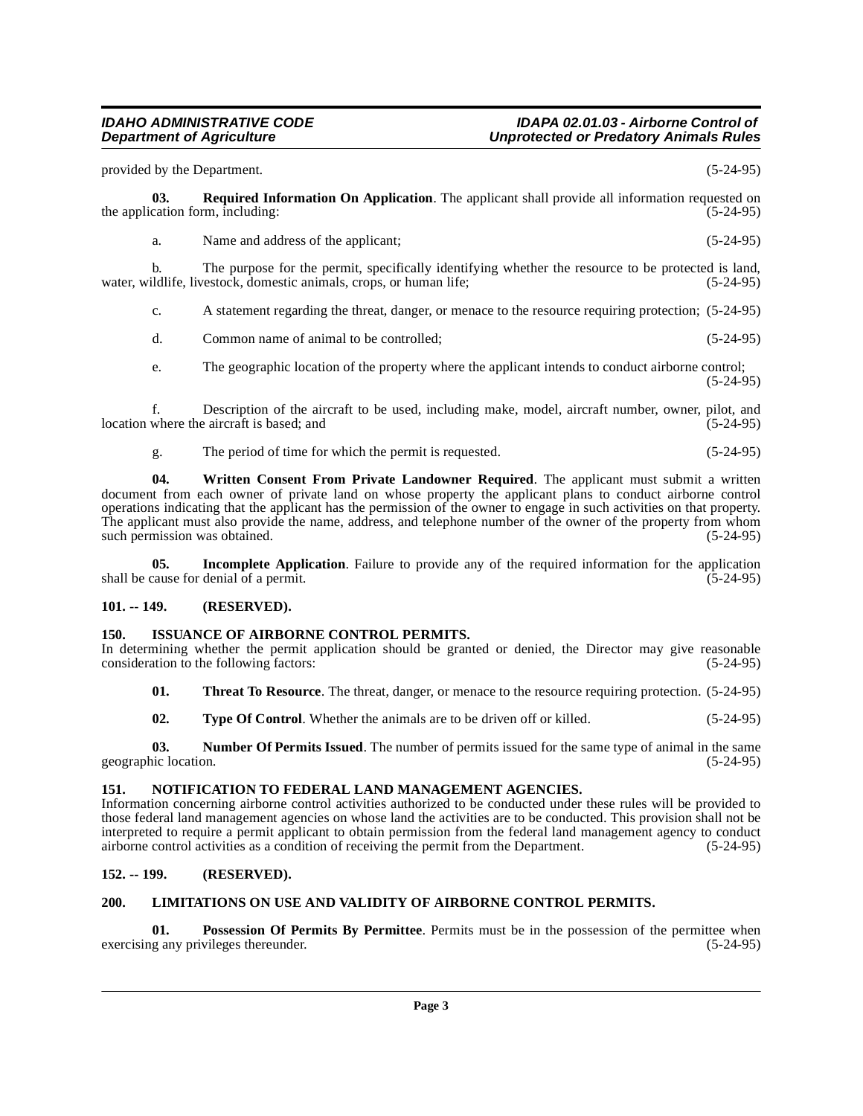#### **IDAHO ADMINISTRATIVE CODE IDAPA 02.01.03 - Airborne Control of Unprotected or Predatory Animals Rules**

<span id="page-2-11"></span>provided by the Department. (5-24-95) **03. Required Information On Application**. The applicant shall provide all information requested on cation form, including: (5-24-95) the application form, including: a. Name and address of the applicant; (5-24-95) b. The purpose for the permit, specifically identifying whether the resource to be protected is land, ildlife, livestock, domestic animals, crops, or human life; (5-24-95) water, wildlife, livestock, domestic animals, crops, or human life; c. A statement regarding the threat, danger, or menace to the resource requiring protection; (5-24-95) d. Common name of animal to be controlled; (5-24-95) e. The geographic location of the property where the applicant intends to conduct airborne control; (5-24-95) f. Description of the aircraft to be used, including make, model, aircraft number, owner, pilot, and location where the aircraft is based; and (5-24-95) g. The period of time for which the permit is requested. (5-24-95) **04. Written Consent From Private Landowner Required**. The applicant must submit a written document from each owner of private land on whose property the applicant plans to conduct airborne control operations indicating that the applicant has the permission of the owner to engage in such activities on that property. The applicant must also provide the name, address, and telephone number of the owner of the property from whom such permission was obtained. (5-24-95) such permission was obtained. **05. Incomplete Application**. Failure to provide any of the required information for the application cause for denial of a permit. (5-24-95) shall be cause for denial of a permit.

# <span id="page-2-14"></span><span id="page-2-5"></span><span id="page-2-0"></span>**101. -- 149. (RESERVED).**

### <span id="page-2-6"></span><span id="page-2-1"></span>**150. ISSUANCE OF AIRBORNE CONTROL PERMITS.**

In determining whether the permit application should be granted or denied, the Director may give reasonable consideration to the following factors: (5-24-95) consideration to the following factors:

<span id="page-2-12"></span>**01.** Threat To Resource. The threat, danger, or menace to the resource requiring protection. (5-24-95)

<span id="page-2-13"></span><span id="page-2-9"></span>**02. Type Of Control**. Whether the animals are to be driven off or killed.  $(5-24-95)$ 

**03. Number Of Permits Issued**. The number of permits issued for the same type of animal in the same geographic location. (5-24-95)

#### <span id="page-2-8"></span><span id="page-2-2"></span>**151. NOTIFICATION TO FEDERAL LAND MANAGEMENT AGENCIES.**

Information concerning airborne control activities authorized to be conducted under these rules will be provided to those federal land management agencies on whose land the activities are to be conducted. This provision shall not be interpreted to require a permit applicant to obtain permission from the federal land management agency to conduct airborne control activities as a condition of receiving the permit from the Department. (5-24-95)

## <span id="page-2-3"></span>**152. -- 199. (RESERVED).**

## <span id="page-2-7"></span><span id="page-2-4"></span>**200. LIMITATIONS ON USE AND VALIDITY OF AIRBORNE CONTROL PERMITS.**

<span id="page-2-10"></span>**01. Possession Of Permits By Permittee**. Permits must be in the possession of the permittee when g any privileges thereunder. (5-24-95) exercising any privileges thereunder.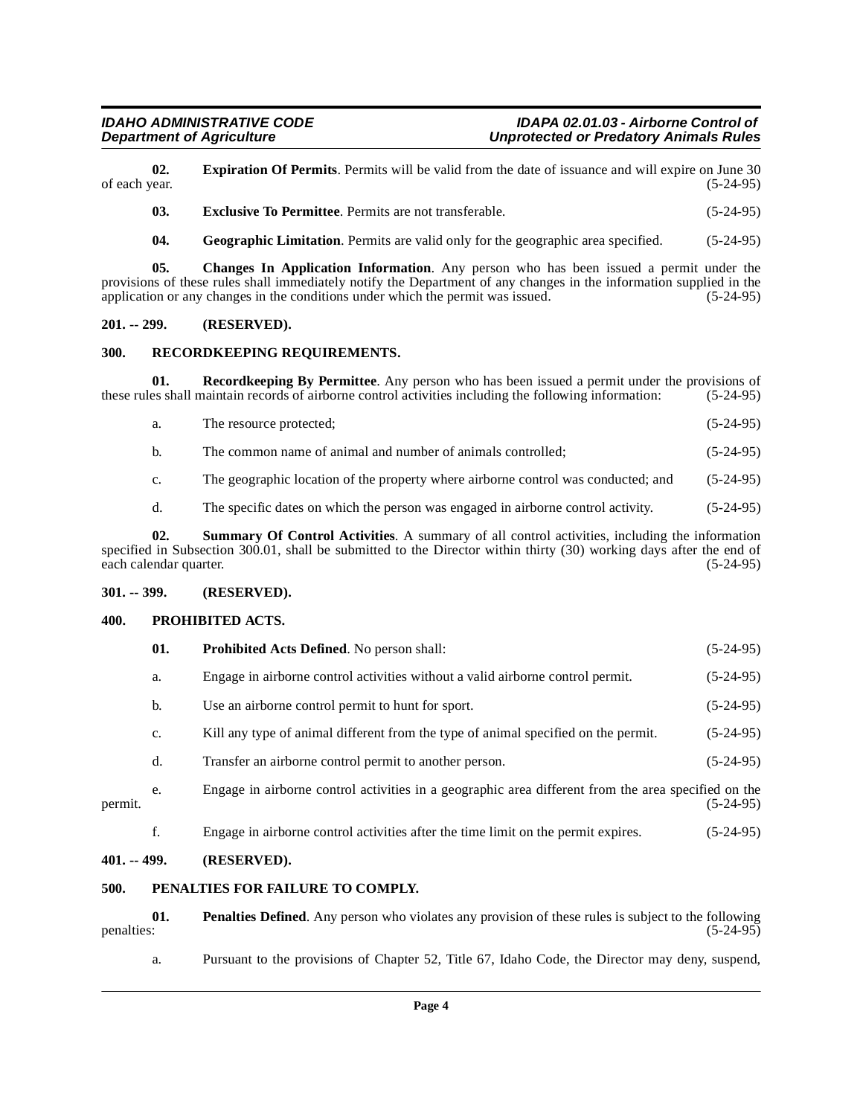**02. Expiration Of Permits**. Permits will be valid from the date of issuance and will expire on June 30 of each year. (5-24-95) of each year.  $(5-24-95)$ 

<span id="page-3-8"></span><span id="page-3-7"></span>**03. Exclusive To Permittee**. Permits are not transferable. (5-24-95)

<span id="page-3-9"></span><span id="page-3-6"></span>**04. Geographic Limitation**. Permits are valid only for the geographic area specified. (5-24-95)

**05. Changes In Application Information**. Any person who has been issued a permit under the provisions of these rules shall immediately notify the Department of any changes in the information supplied in the application or any changes in the conditions under which the permit was issued. (5-24-95)

### <span id="page-3-0"></span>**201. -- 299. (RESERVED).**

### <span id="page-3-15"></span><span id="page-3-1"></span>**300. RECORDKEEPING REQUIREMENTS.**

**01. Recordkeeping By Permittee**. Any person who has been issued a permit under the provisions of es shall maintain records of airborne control activities including the following information: (5-24-95) these rules shall maintain records of airborne control activities including the following information:

<span id="page-3-14"></span>

| a. | The resource protected: | $(5-24-95)$ |
|----|-------------------------|-------------|
|    |                         |             |

- b. The common name of animal and number of animals controlled; (5-24-95)
- c. The geographic location of the property where airborne control was conducted; and (5-24-95)
- <span id="page-3-16"></span>d. The specific dates on which the person was engaged in airborne control activity. (5-24-95)

**02. Summary Of Control Activities**. A summary of all control activities, including the information specified in Subsection 300.01, shall be submitted to the Director within thirty (30) working days after the end of each calendar quarter.  $(5-24-95)$ each calendar quarter.

#### <span id="page-3-2"></span>**301. -- 399. (RESERVED).**

#### <span id="page-3-12"></span><span id="page-3-3"></span>**400. PROHIBITED ACTS.**

<span id="page-3-13"></span>

|         | 01.            | Prohibited Acts Defined. No person shall:                                                           | $(5-24-95)$ |
|---------|----------------|-----------------------------------------------------------------------------------------------------|-------------|
|         | a.             | Engage in airborne control activities without a valid airborne control permit.                      | $(5-24-95)$ |
|         | $\mathbf{b}$ . | Use an airborne control permit to hunt for sport.                                                   | $(5-24-95)$ |
|         | c.             | Kill any type of animal different from the type of animal specified on the permit.                  | $(5-24-95)$ |
|         | d.             | Transfer an airborne control permit to another person.                                              | $(5-24-95)$ |
| permit. | e.             | Engage in airborne control activities in a geographic area different from the area specified on the | $(5-24-95)$ |
|         | f.             | Engage in airborne control activities after the time limit on the permit expires.                   | $(5-24-95)$ |

#### <span id="page-3-4"></span>**401. -- 499. (RESERVED).**

#### <span id="page-3-11"></span><span id="page-3-5"></span>**500. PENALTIES FOR FAILURE TO COMPLY.**

**01.** Penalties Defined. Any person who violates any provision of these rules is subject to the following penalties: (5-24-95) penalties: (5-24-95)

<span id="page-3-10"></span>a. Pursuant to the provisions of Chapter 52, Title 67, Idaho Code, the Director may deny, suspend,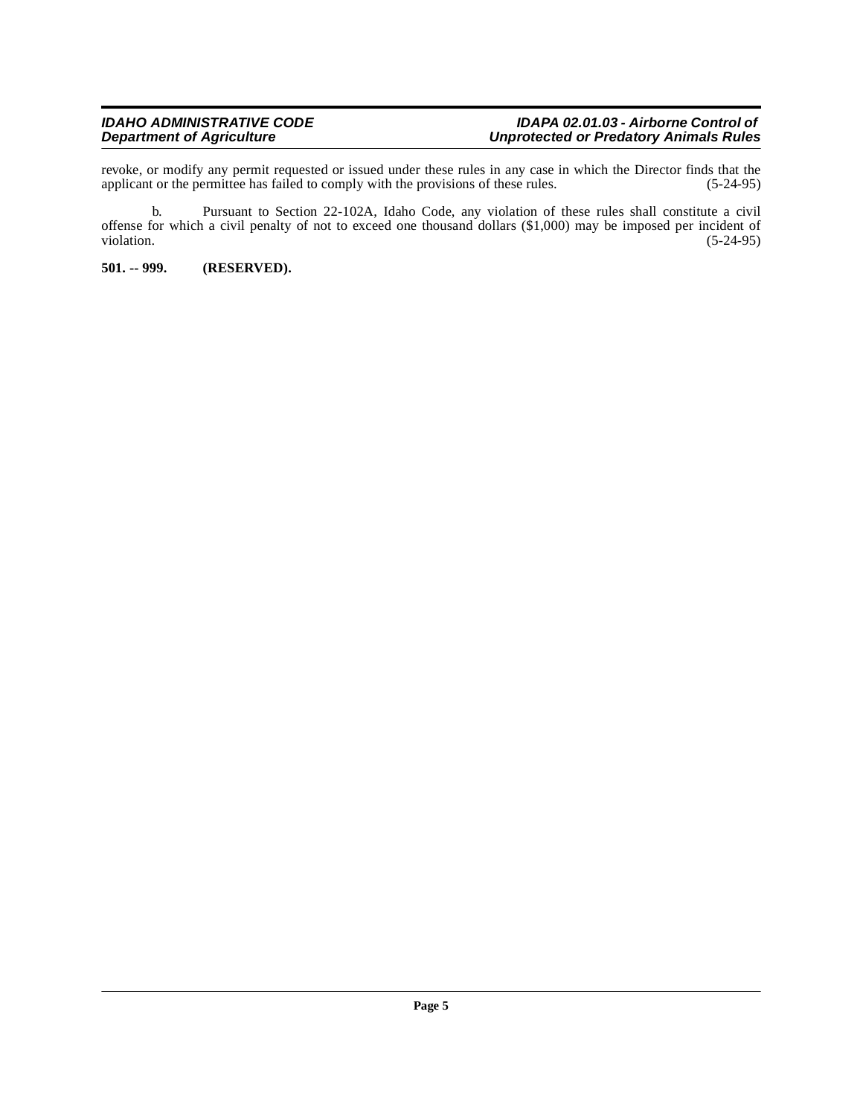revoke, or modify any permit requested or issued under these rules in any case in which the Director finds that the applicant or the permittee has failed to comply with the provisions of these rules. (5-24-95)

b. Pursuant to Section 22-102A, Idaho Code, any violation of these rules shall constitute a civil offense for which a civil penalty of not to exceed one thousand dollars (\$1,000) may be imposed per incident of violation. (5-24-95)

<span id="page-4-0"></span>**501. -- 999. (RESERVED).**